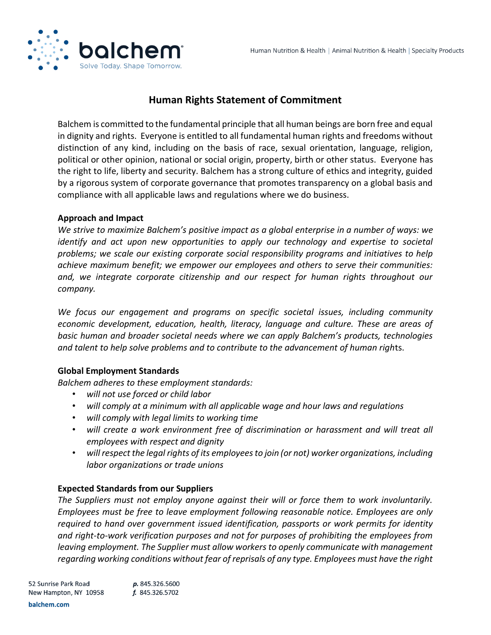

# **Human Rights Statement of Commitment**

Balchem is committed to the fundamental principle that all human beings are born free and equal in dignity and rights. Everyone is entitled to all fundamental human rights and freedoms without distinction of any kind, including on the basis of race, sexual orientation, language, religion, political or other opinion, national or social origin, property, birth or other status. Everyone has the right to life, liberty and security. Balchem has a strong culture of ethics and integrity, guided by a rigorous system of corporate governance that promotes transparency on a global basis and compliance with all applicable laws and regulations where we do business.

# **Approach and Impact**

*We strive to maximize Balchem's positive impact as a global enterprise in a number of ways: we identify and act upon new opportunities to apply our technology and expertise to societal problems; we scale our existing corporate social responsibility programs and initiatives to help achieve maximum benefit; we empower our employees and others to serve their communities: and, we integrate corporate citizenship and our respect for human rights throughout our company.*

*We focus our engagement and programs on specific societal issues, including community economic development, education, health, literacy, language and culture. These are areas of basic human and broader societal needs where we can apply Balchem's products, technologies and talent to help solve problems and to contribute to the advancement of human righ*ts.

# **Global Employment Standards**

*Balchem adheres to these employment standards:*

- *will not use forced or child labor*
- *will comply at a minimum with all applicable wage and hour laws and regulations*
- *will comply with legal limits to working time*
- *will create a work environment free of discrimination or harassment and will treat all employees with respect and dignity*
- *will respect the legal rights of its employees to join (or not) worker organizations, including labor organizations or trade unions*

# **Expected Standards from our Suppliers**

*The Suppliers must not employ anyone against their will or force them to work involuntarily. Employees must be free to leave employment following reasonable notice. Employees are only required to hand over government issued identification, passports or work permits for identity and right-to-work verification purposes and not for purposes of prohibiting the employees from leaving employment. The Supplier must allow workers to openly communicate with management regarding working conditions without fear of reprisals of any type. Employees must have the right*